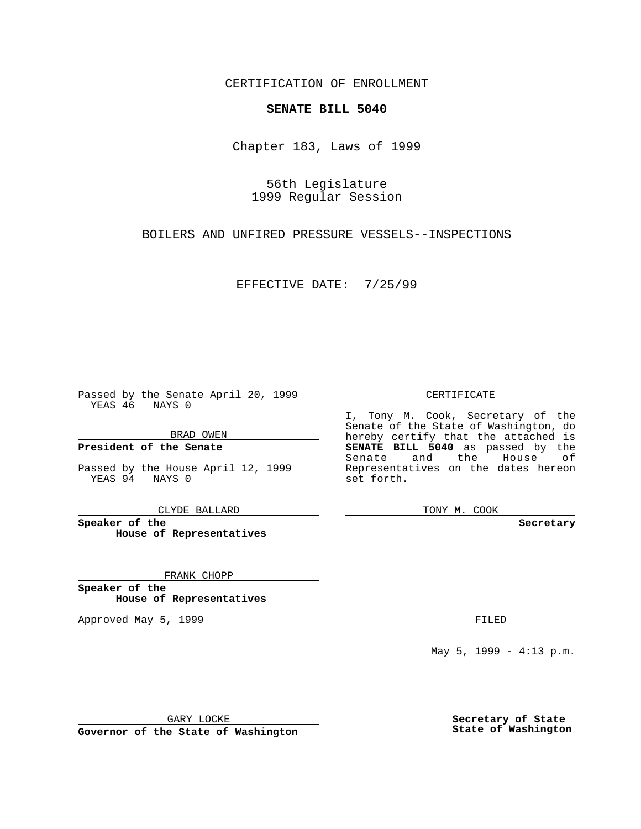CERTIFICATION OF ENROLLMENT

## **SENATE BILL 5040**

Chapter 183, Laws of 1999

56th Legislature 1999 Regular Session

BOILERS AND UNFIRED PRESSURE VESSELS--INSPECTIONS

EFFECTIVE DATE: 7/25/99

Passed by the Senate April 20, 1999 YEAS 46 NAYS 0

BRAD OWEN

**President of the Senate**

Passed by the House April 12, 1999 YEAS 94 NAYS 0

CLYDE BALLARD

**Speaker of the House of Representatives**

FRANK CHOPP

**Speaker of the House of Representatives**

Approved May 5, 1999 **FILED** 

CERTIFICATE

I, Tony M. Cook, Secretary of the Senate of the State of Washington, do hereby certify that the attached is **SENATE BILL 5040** as passed by the Senate and the House of Representatives on the dates hereon set forth.

TONY M. COOK

**Secretary**

May 5, 1999 - 4:13 p.m.

GARY LOCKE

**Governor of the State of Washington**

**Secretary of State State of Washington**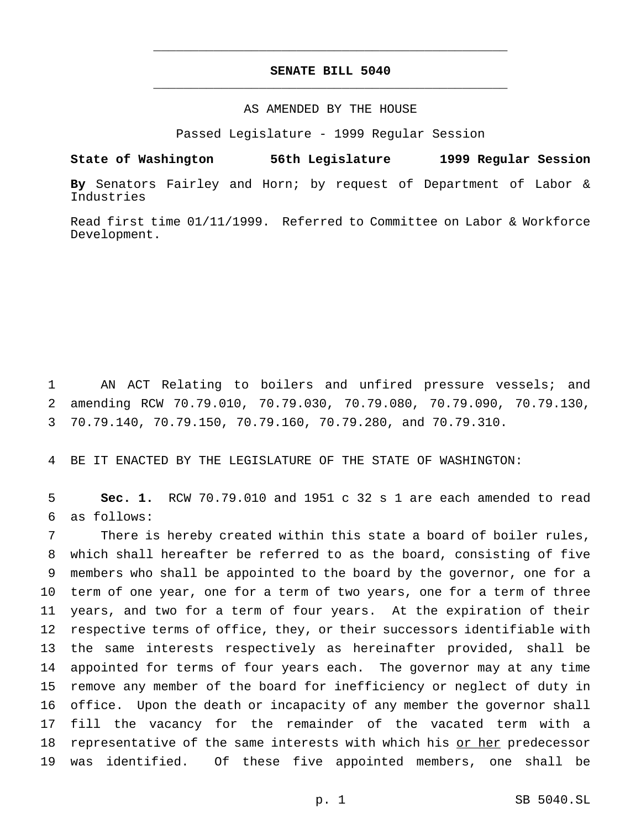## **SENATE BILL 5040** \_\_\_\_\_\_\_\_\_\_\_\_\_\_\_\_\_\_\_\_\_\_\_\_\_\_\_\_\_\_\_\_\_\_\_\_\_\_\_\_\_\_\_\_\_\_\_

\_\_\_\_\_\_\_\_\_\_\_\_\_\_\_\_\_\_\_\_\_\_\_\_\_\_\_\_\_\_\_\_\_\_\_\_\_\_\_\_\_\_\_\_\_\_\_

## AS AMENDED BY THE HOUSE

Passed Legislature - 1999 Regular Session

**State of Washington 56th Legislature 1999 Regular Session**

**By** Senators Fairley and Horn; by request of Department of Labor & Industries

Read first time 01/11/1999. Referred to Committee on Labor & Workforce Development.

1 AN ACT Relating to boilers and unfired pressure vessels; and 2 amending RCW 70.79.010, 70.79.030, 70.79.080, 70.79.090, 70.79.130, 3 70.79.140, 70.79.150, 70.79.160, 70.79.280, and 70.79.310.

4 BE IT ENACTED BY THE LEGISLATURE OF THE STATE OF WASHINGTON:

5 **Sec. 1.** RCW 70.79.010 and 1951 c 32 s 1 are each amended to read 6 as follows:

 There is hereby created within this state a board of boiler rules, which shall hereafter be referred to as the board, consisting of five members who shall be appointed to the board by the governor, one for a term of one year, one for a term of two years, one for a term of three years, and two for a term of four years. At the expiration of their respective terms of office, they, or their successors identifiable with the same interests respectively as hereinafter provided, shall be appointed for terms of four years each. The governor may at any time remove any member of the board for inefficiency or neglect of duty in office. Upon the death or incapacity of any member the governor shall fill the vacancy for the remainder of the vacated term with a 18 representative of the same interests with which his or her predecessor was identified. Of these five appointed members, one shall be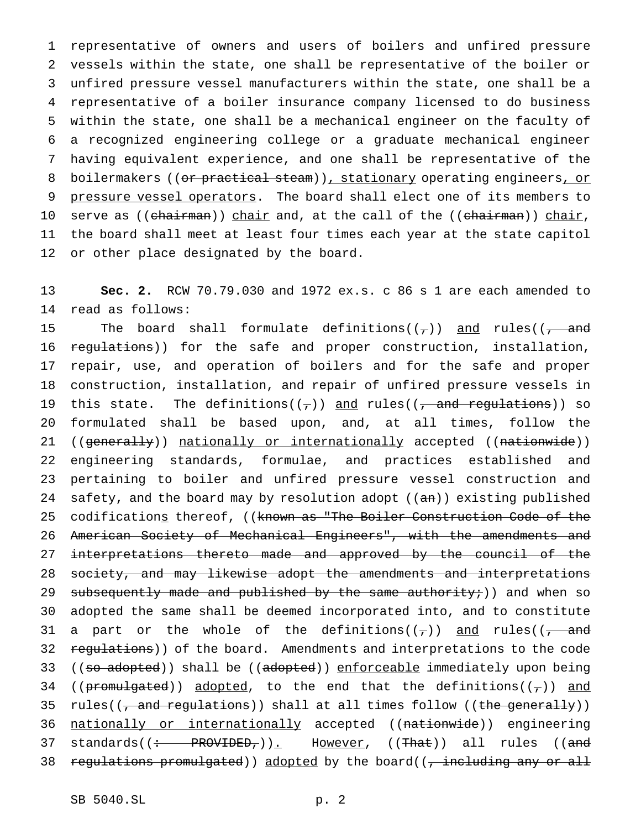representative of owners and users of boilers and unfired pressure vessels within the state, one shall be representative of the boiler or unfired pressure vessel manufacturers within the state, one shall be a representative of a boiler insurance company licensed to do business within the state, one shall be a mechanical engineer on the faculty of a recognized engineering college or a graduate mechanical engineer having equivalent experience, and one shall be representative of the 8 boilermakers ((or practical steam)), stationary operating engineers, or pressure vessel operators. The board shall elect one of its members to 10 serve as ((chairman)) chair and, at the call of the ((chairman)) chair, the board shall meet at least four times each year at the state capitol or other place designated by the board.

13 **Sec. 2.** RCW 70.79.030 and 1972 ex.s. c 86 s 1 are each amended to 14 read as follows:

15 The board shall formulate definitions( $(\tau)$ ) and rules( $(\tau)$  and 16 regulations)) for the safe and proper construction, installation, 17 repair, use, and operation of boilers and for the safe and proper 18 construction, installation, and repair of unfired pressure vessels in 19 this state. The definitions( $(\tau)$ ) and rules( $(\tau)$  and regulations)) so 20 formulated shall be based upon, and, at all times, follow the 21 ((generally)) nationally or internationally accepted ((nationwide)) 22 engineering standards, formulae, and practices established and 23 pertaining to boiler and unfired pressure vessel construction and 24 safety, and the board may by resolution adopt  $((an))$  existing published 25 codifications thereof, ((known as "The Boiler Construction Code of the 26 American Society of Mechanical Engineers", with the amendments and 27 interpretations thereto made and approved by the council of the 28 society, and may likewise adopt the amendments and interpretations 29 subsequently made and published by the same authority;)) and when so 30 adopted the same shall be deemed incorporated into, and to constitute 31 a part or the whole of the definitions( $(\tau)$ ) and rules( $(\tau)$  and 32 regulations)) of the board. Amendments and interpretations to the code 33 ((so adopted)) shall be ((adopted)) enforceable immediately upon being 34 (( $\frac{p$ romulgated)) adopted, to the end that the definitions(( $\frac{1}{q}$ )) and 35 rules( $(\tau$  and regulations)) shall at all times follow ((the generally)) 36 nationally or internationally accepted ((nationwide)) engineering 37 standards((: PROVIDED,)). However, ((That)) all rules ((and 38 regulations promulgated)) adopted by the board((, including any or all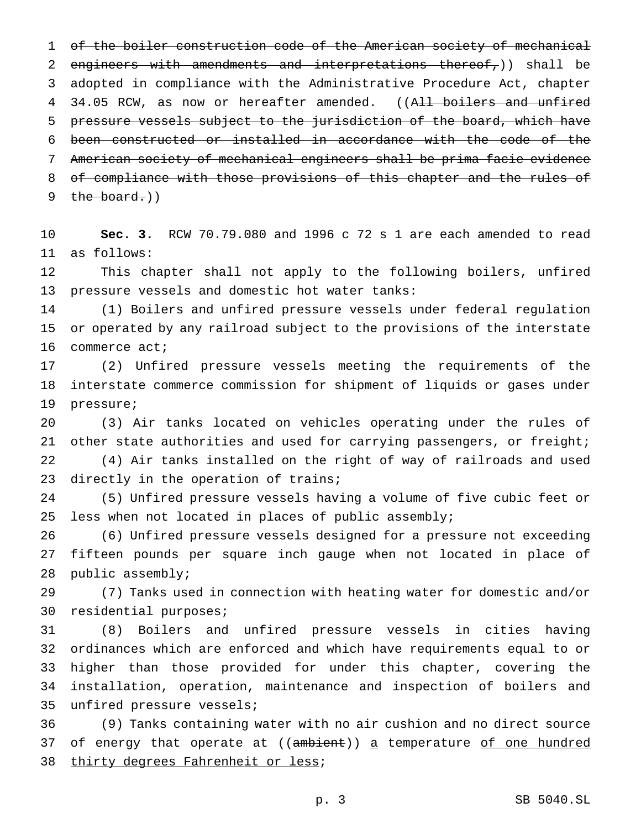of the boiler construction code of the American society of mechanical 2 engineers with amendments and interpretations thereof,)) shall be adopted in compliance with the Administrative Procedure Act, chapter 4 34.05 RCW, as now or hereafter amended. ((All boilers and unfired pressure vessels subject to the jurisdiction of the board, which have been constructed or installed in accordance with the code of the American society of mechanical engineers shall be prima facie evidence 8 of compliance with those provisions of this chapter and the rules of  $the board.)$ 

 **Sec. 3.** RCW 70.79.080 and 1996 c 72 s 1 are each amended to read as follows:

 This chapter shall not apply to the following boilers, unfired pressure vessels and domestic hot water tanks:

 (1) Boilers and unfired pressure vessels under federal regulation or operated by any railroad subject to the provisions of the interstate commerce act;

 (2) Unfired pressure vessels meeting the requirements of the interstate commerce commission for shipment of liquids or gases under pressure;

 (3) Air tanks located on vehicles operating under the rules of other state authorities and used for carrying passengers, or freight; (4) Air tanks installed on the right of way of railroads and used 23 directly in the operation of trains;

 (5) Unfired pressure vessels having a volume of five cubic feet or less when not located in places of public assembly;

 (6) Unfired pressure vessels designed for a pressure not exceeding fifteen pounds per square inch gauge when not located in place of public assembly;

 (7) Tanks used in connection with heating water for domestic and/or residential purposes;

 (8) Boilers and unfired pressure vessels in cities having ordinances which are enforced and which have requirements equal to or higher than those provided for under this chapter, covering the installation, operation, maintenance and inspection of boilers and unfired pressure vessels;

 (9) Tanks containing water with no air cushion and no direct source 37 of energy that operate at ((ambient)) a temperature of one hundred 38 thirty degrees Fahrenheit or less;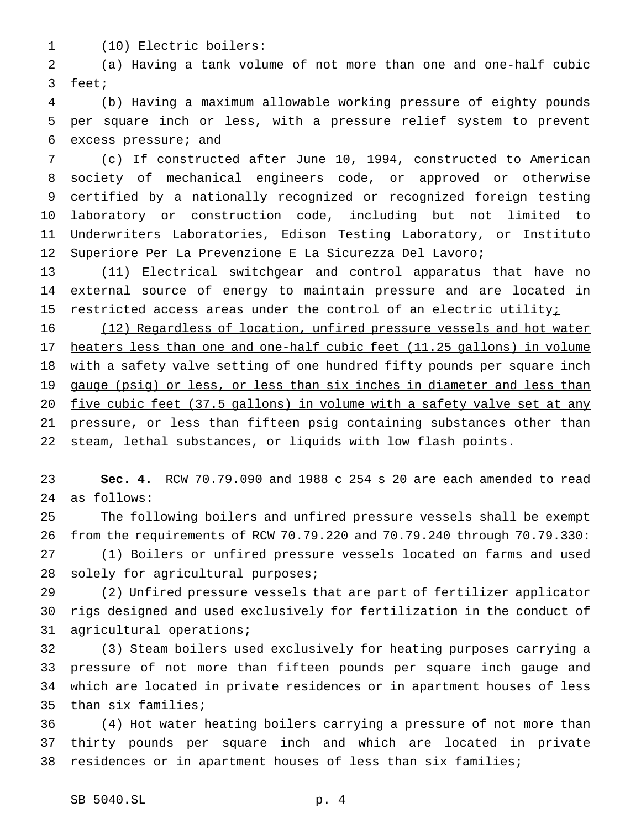(10) Electric boilers:

 (a) Having a tank volume of not more than one and one-half cubic feet;

 (b) Having a maximum allowable working pressure of eighty pounds per square inch or less, with a pressure relief system to prevent excess pressure; and

 (c) If constructed after June 10, 1994, constructed to American society of mechanical engineers code, or approved or otherwise certified by a nationally recognized or recognized foreign testing laboratory or construction code, including but not limited to Underwriters Laboratories, Edison Testing Laboratory, or Instituto Superiore Per La Prevenzione E La Sicurezza Del Lavoro;

 (11) Electrical switchgear and control apparatus that have no external source of energy to maintain pressure and are located in 15 restricted access areas under the control of an electric utilityi

 (12) Regardless of location, unfired pressure vessels and hot water heaters less than one and one-half cubic feet (11.25 gallons) in volume 18 with a safety valve setting of one hundred fifty pounds per square inch 19 gauge (psig) or less, or less than six inches in diameter and less than five cubic feet (37.5 gallons) in volume with a safety valve set at any 21 pressure, or less than fifteen psig containing substances other than 22 steam, lethal substances, or liquids with low flash points.

 **Sec. 4.** RCW 70.79.090 and 1988 c 254 s 20 are each amended to read as follows:

 The following boilers and unfired pressure vessels shall be exempt from the requirements of RCW 70.79.220 and 70.79.240 through 70.79.330: (1) Boilers or unfired pressure vessels located on farms and used 28 solely for agricultural purposes;

 (2) Unfired pressure vessels that are part of fertilizer applicator rigs designed and used exclusively for fertilization in the conduct of agricultural operations;

 (3) Steam boilers used exclusively for heating purposes carrying a pressure of not more than fifteen pounds per square inch gauge and which are located in private residences or in apartment houses of less than six families;

 (4) Hot water heating boilers carrying a pressure of not more than thirty pounds per square inch and which are located in private residences or in apartment houses of less than six families;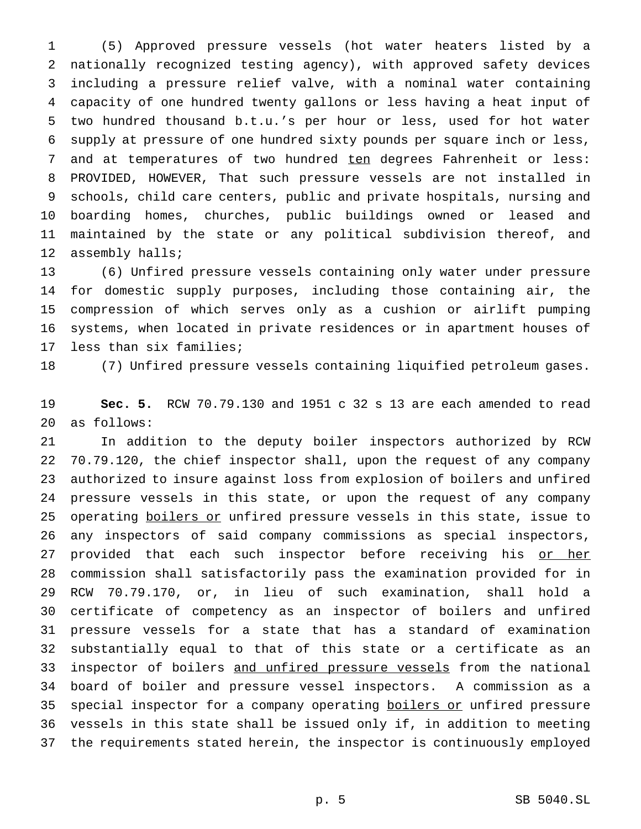(5) Approved pressure vessels (hot water heaters listed by a nationally recognized testing agency), with approved safety devices including a pressure relief valve, with a nominal water containing capacity of one hundred twenty gallons or less having a heat input of two hundred thousand b.t.u.'s per hour or less, used for hot water supply at pressure of one hundred sixty pounds per square inch or less, 7 and at temperatures of two hundred ten degrees Fahrenheit or less: PROVIDED, HOWEVER, That such pressure vessels are not installed in schools, child care centers, public and private hospitals, nursing and boarding homes, churches, public buildings owned or leased and maintained by the state or any political subdivision thereof, and assembly halls;

 (6) Unfired pressure vessels containing only water under pressure for domestic supply purposes, including those containing air, the compression of which serves only as a cushion or airlift pumping systems, when located in private residences or in apartment houses of less than six families;

(7) Unfired pressure vessels containing liquified petroleum gases.

 **Sec. 5.** RCW 70.79.130 and 1951 c 32 s 13 are each amended to read as follows:

 In addition to the deputy boiler inspectors authorized by RCW 70.79.120, the chief inspector shall, upon the request of any company authorized to insure against loss from explosion of boilers and unfired pressure vessels in this state, or upon the request of any company 25 operating boilers or unfired pressure vessels in this state, issue to any inspectors of said company commissions as special inspectors, 27 provided that each such inspector before receiving his or her commission shall satisfactorily pass the examination provided for in RCW 70.79.170, or, in lieu of such examination, shall hold a certificate of competency as an inspector of boilers and unfired pressure vessels for a state that has a standard of examination substantially equal to that of this state or a certificate as an 33 inspector of boilers and unfired pressure vessels from the national board of boiler and pressure vessel inspectors. A commission as a 35 special inspector for a company operating boilers or unfired pressure vessels in this state shall be issued only if, in addition to meeting the requirements stated herein, the inspector is continuously employed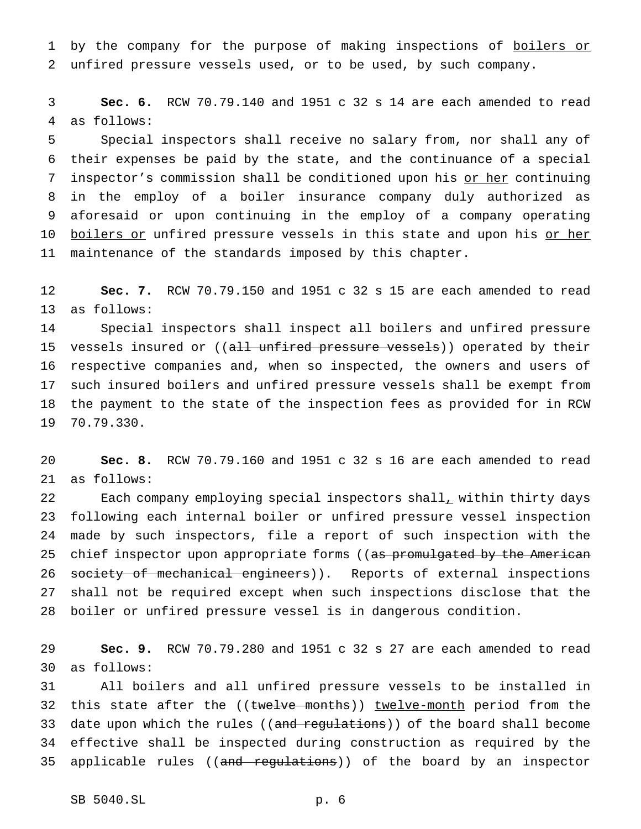1 by the company for the purpose of making inspections of boilers or unfired pressure vessels used, or to be used, by such company.

 **Sec. 6.** RCW 70.79.140 and 1951 c 32 s 14 are each amended to read as follows:

 Special inspectors shall receive no salary from, nor shall any of their expenses be paid by the state, and the continuance of a special 7 inspector's commission shall be conditioned upon his or her continuing in the employ of a boiler insurance company duly authorized as aforesaid or upon continuing in the employ of a company operating 10 <u>boilers or</u> unfired pressure vessels in this state and upon his <u>or her</u> maintenance of the standards imposed by this chapter.

 **Sec. 7.** RCW 70.79.150 and 1951 c 32 s 15 are each amended to read as follows:

 Special inspectors shall inspect all boilers and unfired pressure 15 vessels insured or ((all unfired pressure vessels)) operated by their respective companies and, when so inspected, the owners and users of such insured boilers and unfired pressure vessels shall be exempt from the payment to the state of the inspection fees as provided for in RCW 70.79.330.

 **Sec. 8.** RCW 70.79.160 and 1951 c 32 s 16 are each amended to read as follows:

22 Each company employing special inspectors shall, within thirty days following each internal boiler or unfired pressure vessel inspection made by such inspectors, file a report of such inspection with the 25 chief inspector upon appropriate forms ((as promulgated by the American 26 society of mechanical engineers)). Reports of external inspections shall not be required except when such inspections disclose that the boiler or unfired pressure vessel is in dangerous condition.

 **Sec. 9.** RCW 70.79.280 and 1951 c 32 s 27 are each amended to read as follows:

 All boilers and all unfired pressure vessels to be installed in 32 this state after the ((twelve months)) twelve-month period from the 33 date upon which the rules ((and regulations)) of the board shall become effective shall be inspected during construction as required by the 35 applicable rules ((and regulations)) of the board by an inspector